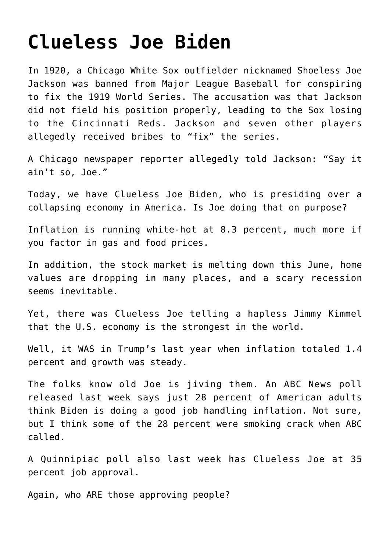## **[Clueless Joe Biden](https://bernardgoldberg.com/clueless-joe-biden/)**

In 1920, a Chicago White Sox outfielder nicknamed Shoeless Joe Jackson was banned from Major League Baseball for conspiring to fix the 1919 World Series. The accusation was that Jackson did not field his position properly, leading to the Sox losing to the Cincinnati Reds. Jackson and seven other players allegedly received bribes to "fix" the series.

A Chicago newspaper reporter allegedly told Jackson: "Say it ain't so, Joe."

Today, we have Clueless Joe Biden, who is presiding over a collapsing economy in America. Is Joe doing that on purpose?

Inflation is running white-hot at 8.3 percent, much more if you factor in gas and food prices.

In addition, the stock market is melting down this June, home values are dropping in many places, and a scary recession seems inevitable.

Yet, there was Clueless Joe telling a hapless Jimmy Kimmel that the U.S. economy is the strongest in the world.

Well, it WAS in Trump's last year when inflation totaled 1.4 percent and growth was steady.

The folks know old Joe is jiving them. An ABC News poll released last week says just 28 percent of American adults think Biden is doing a good job handling inflation. Not sure, but I think some of the 28 percent were smoking crack when ABC called.

A Quinnipiac poll also last week has Clueless Joe at 35 percent job approval.

Again, who ARE those approving people?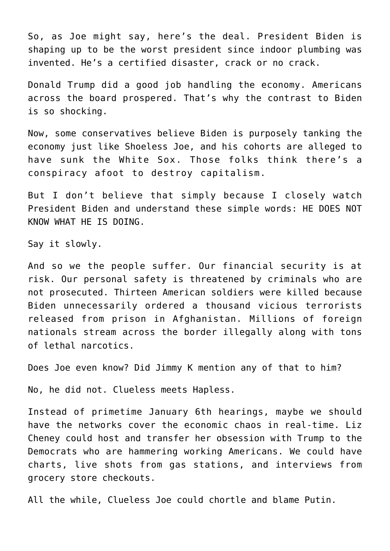So, as Joe might say, here's the deal. President Biden is shaping up to be the worst president since indoor plumbing was invented. He's a certified disaster, crack or no crack.

Donald Trump did a good job handling the economy. Americans across the board prospered. That's why the contrast to Biden is so shocking.

Now, some conservatives believe Biden is purposely tanking the economy just like Shoeless Joe, and his cohorts are alleged to have sunk the White Sox. Those folks think there's a conspiracy afoot to destroy capitalism.

But I don't believe that simply because I closely watch President Biden and understand these simple words: HE DOES NOT KNOW WHAT HE IS DOING.

Say it slowly.

And so we the people suffer. Our financial security is at risk. Our personal safety is threatened by criminals who are not prosecuted. Thirteen American soldiers were killed because Biden unnecessarily ordered a thousand vicious terrorists released from prison in Afghanistan. Millions of foreign nationals stream across the border illegally along with tons of lethal narcotics.

Does Joe even know? Did Jimmy K mention any of that to him?

No, he did not. Clueless meets Hapless.

Instead of primetime January 6th hearings, maybe we should have the networks cover the economic chaos in real-time. Liz Cheney could host and transfer her obsession with Trump to the Democrats who are hammering working Americans. We could have charts, live shots from gas stations, and interviews from grocery store checkouts.

All the while, Clueless Joe could chortle and blame Putin.